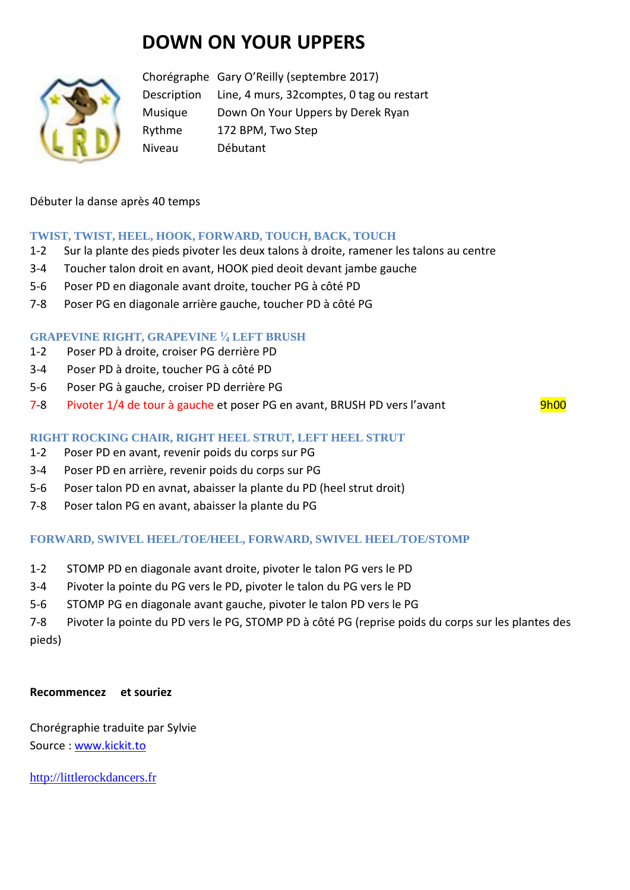# **DOWN ON YOUR UPPERS**



Chorégraphe Gary O'Reilly (septembre 2017) Description Line, 4 murs, 32comptes, 0 tag ou restart Musique Down On Your Uppers by Derek Ryan Rythme 172 BPM, Two Step Niveau Débutant

#### Débuter la danse après 40 temps

## **TWIST, TWIST, HEEL, HOOK, FORWARD, TOUCH, BACK, TOUCH**

- 1-2 Sur la plante des pieds pivoter les deux talons à droite, ramener les talons au centre
- 3-4 Toucher talon droit en avant, HOOK pied deoit devant jambe gauche
- 5-6 Poser PD en diagonale avant droite, toucher PG à côté PD
- 7-8 Poser PG en diagonale arrière gauche, toucher PD à côté PG

## **GRAPEVINE RIGHT, GRAPEVINE <sup>1</sup> ⁄<sup>4</sup> LEFT BRUSH**

- 1-2 Poser PD à droite, croiser PG derrière PD
- 3-4 Poser PD à droite, toucher PG à côté PD
- 5-6 Poser PG à gauche, croiser PD derrière PG
- 7-8 Pivoter 1/4 de tour à gauche et poser PG en avant, BRUSH PD vers l'avant 9h00

#### **RIGHT ROCKING CHAIR, RIGHT HEEL STRUT, LEFT HEEL STRUT**

- 1-2 Poser PD en avant, revenir poids du corps sur PG
- 3-4 Poser PD en arrière, revenir poids du corps sur PG
- 5-6 Poser talon PD en avnat, abaisser la plante du PD (heel strut droit)
- 7-8 Poser talon PG en avant, abaisser la plante du PG

## **FORWARD, SWIVEL HEEL/TOE/HEEL, FORWARD, SWIVEL HEEL/TOE/STOMP**

- 1-2 STOMP PD en diagonale avant droite, pivoter le talon PG vers le PD
- 3-4 Pivoter la pointe du PG vers le PD, pivoter le talon du PG vers le PD
- 5-6 STOMP PG en diagonale avant gauche, pivoter le talon PD vers le PG

7-8 Pivoter la pointe du PD vers le PG, STOMP PD à côté PG (reprise poids du corps sur les plantes des pieds)

#### **Recommencez et souriez**

Chorégraphie traduite par Sylvie Source : [www.kickit.to](http://www.kickit.to/)

[http://littlerockdancers.fr](http://littlerockdancers.fr/)